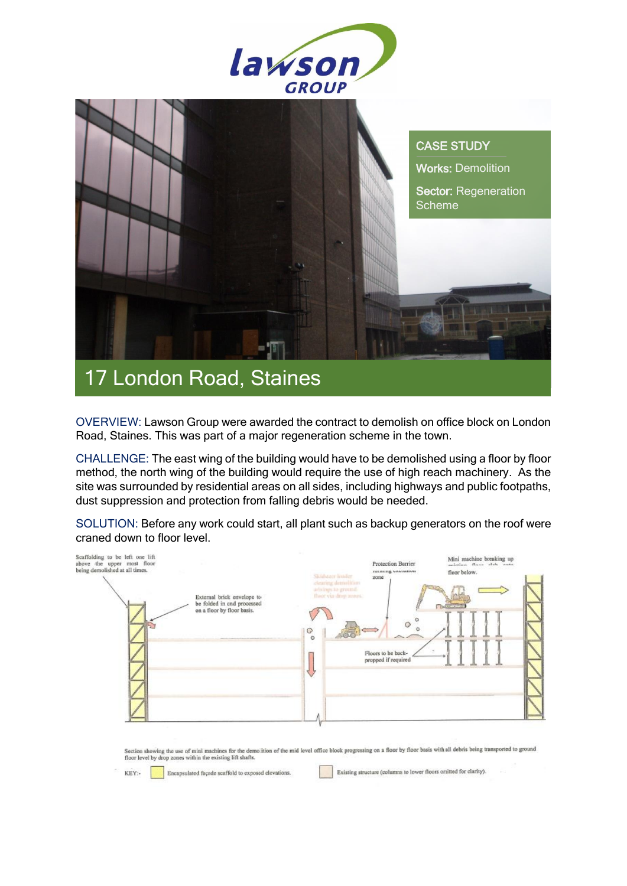



## OVERVIEW: Lawson Group were awarded the contract to demolish on office block on London Road, Staines. This was part of a major regeneration scheme in the town.

CHALLENGE: The east wing of the building would have to be demolished using a floor by floor method, the north wing of the building would require the use of high reach machinery. As the site was surrounded by residential areas on all sides, including highways and public footpaths, dust suppression and protection from falling debris would be needed.

SOLUTION: Before any work could start, all plant such as backup generators on the roof were craned down to floor level.

| Scaffolding to be left one lift<br>above the upper most floor<br>being demolished at all times.<br>External brick envelope to<br>be folded in and processed<br>on a floor by floor basis. | Mini machine breaking up<br>Protection Barrier<br>salation Boos state note<br><b>IMIBILITY CANDIDATE</b><br>floor below.<br>Skinhager linkler<br>zone<br>clearing detroilition.<br>arisings to ground.<br>throe via drop amos.<br>$\circ$<br>G<br>$\circ$<br>ellin<br><b>Hotel</b><br>Floors to be back-<br>propped if required<br>マ |
|-------------------------------------------------------------------------------------------------------------------------------------------------------------------------------------------|--------------------------------------------------------------------------------------------------------------------------------------------------------------------------------------------------------------------------------------------------------------------------------------------------------------------------------------|
|-------------------------------------------------------------------------------------------------------------------------------------------------------------------------------------------|--------------------------------------------------------------------------------------------------------------------------------------------------------------------------------------------------------------------------------------------------------------------------------------------------------------------------------------|

Section showing the use of mini machines for the demolition of the mid level office block progressing on a floor by floor basis with all debris being transported to ground<br>floor level by drop zones within the existing lift

KEY:-

Encapsulated fuçade scaffold to exposed elevations.

Existing structure (columns to lower floors onlitted for clarity).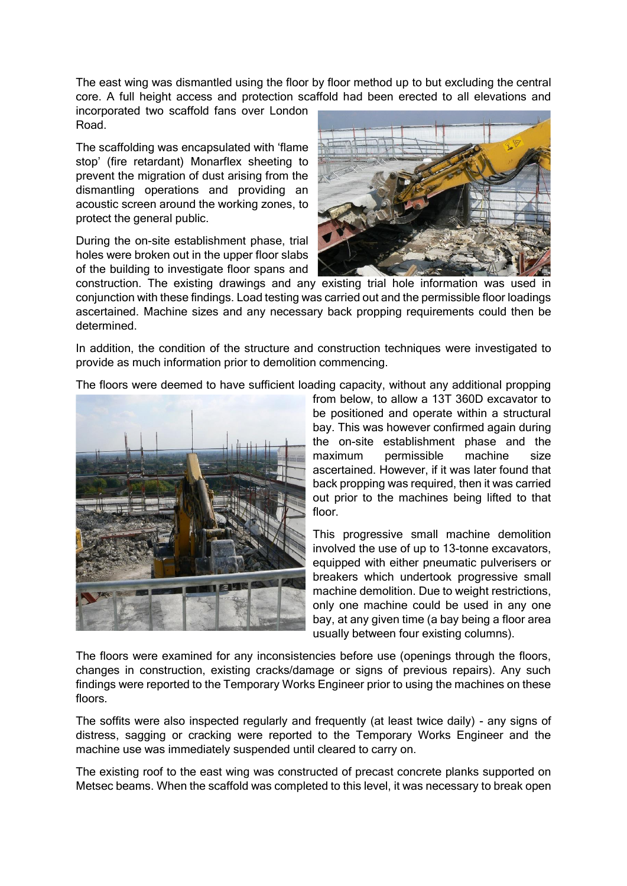The east wing was dismantled using the floor by floor method up to but excluding the central core. A full height access and protection scaffold had been erected to all elevations and

incorporated two scaffold fans over London Road.

The scaffolding was encapsulated with 'flame stop' (fire retardant) Monarflex sheeting to prevent the migration of dust arising from the dismantling operations and providing an acoustic screen around the working zones, to protect the general public.

During the on-site establishment phase, trial holes were broken out in the upper floor slabs of the building to investigate floor spans and



construction. The existing drawings and any existing trial hole information was used in conjunction with these findings. Load testing was carried out and the permissible floor loadings ascertained. Machine sizes and any necessary back propping requirements could then be determined.

In addition, the condition of the structure and construction techniques were investigated to provide as much information prior to demolition commencing.

The floors were deemed to have sufficient loading capacity, without any additional propping



from below, to allow a 13T 360D excavator to be positioned and operate within a structural bay. This was however confirmed again during the on-site establishment phase and the maximum permissible machine size ascertained. However, if it was later found that back propping was required, then it was carried out prior to the machines being lifted to that floor.

This progressive small machine demolition involved the use of up to 13-tonne excavators, equipped with either pneumatic pulverisers or breakers which undertook progressive small machine demolition. Due to weight restrictions, only one machine could be used in any one bay, at any given time (a bay being a floor area usually between four existing columns).

The floors were examined for any inconsistencies before use (openings through the floors, changes in construction, existing cracks/damage or signs of previous repairs). Any such findings were reported to the Temporary Works Engineer prior to using the machines on these floors.

The soffits were also inspected regularly and frequently (at least twice daily) - any signs of distress, sagging or cracking were reported to the Temporary Works Engineer and the machine use was immediately suspended until cleared to carry on.

The existing roof to the east wing was constructed of precast concrete planks supported on Metsec beams. When the scaffold was completed to this level, it was necessary to break open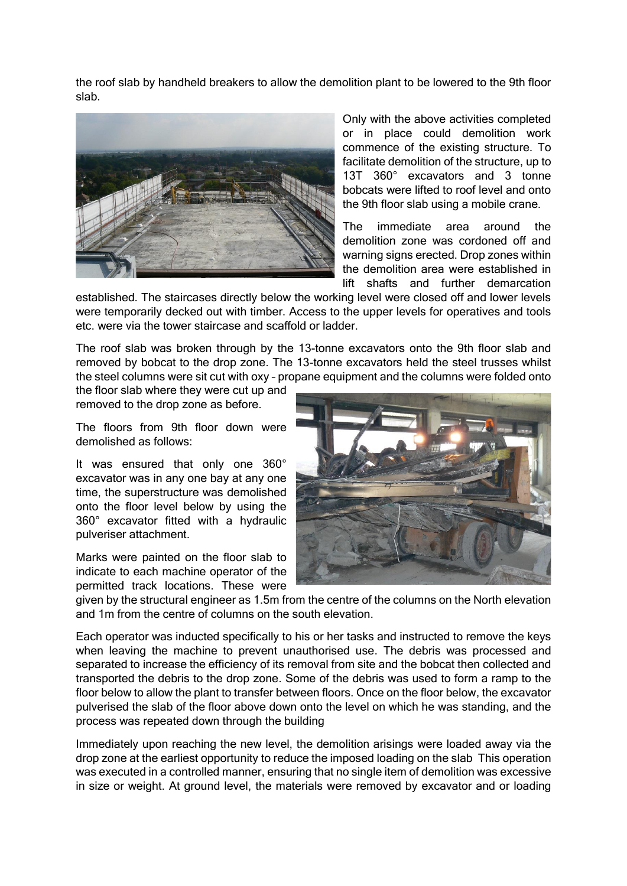the roof slab by handheld breakers to allow the demolition plant to be lowered to the 9th floor slab.



Only with the above activities completed or in place could demolition work commence of the existing structure. To facilitate demolition of the structure, up to 13T 360° excavators and 3 tonne bobcats were lifted to roof level and onto the 9th floor slab using a mobile crane.

The immediate area around the demolition zone was cordoned off and warning signs erected. Drop zones within the demolition area were established in lift shafts and further demarcation

established. The staircases directly below the working level were closed off and lower levels were temporarily decked out with timber. Access to the upper levels for operatives and tools etc. were via the tower staircase and scaffold or ladder.

The roof slab was broken through by the 13-tonne excavators onto the 9th floor slab and removed by bobcat to the drop zone. The 13-tonne excavators held the steel trusses whilst the steel columns were sit cut with oxy – propane equipment and the columns were folded onto

the floor slab where they were cut up and removed to the drop zone as before.

The floors from 9th floor down were demolished as follows:

It was ensured that only one 360° excavator was in any one bay at any one time, the superstructure was demolished onto the floor level below by using the 360° excavator fitted with a hydraulic pulveriser attachment.

Marks were painted on the floor slab to indicate to each machine operator of the permitted track locations. These were



given by the structural engineer as 1.5m from the centre of the columns on the North elevation and 1m from the centre of columns on the south elevation.

Each operator was inducted specifically to his or her tasks and instructed to remove the keys when leaving the machine to prevent unauthorised use. The debris was processed and separated to increase the efficiency of its removal from site and the bobcat then collected and transported the debris to the drop zone. Some of the debris was used to form a ramp to the floor below to allow the plant to transfer between floors. Once on the floor below, the excavator pulverised the slab of the floor above down onto the level on which he was standing, and the process was repeated down through the building

Immediately upon reaching the new level, the demolition arisings were loaded away via the drop zone at the earliest opportunity to reduce the imposed loading on the slab This operation was executed in a controlled manner, ensuring that no single item of demolition was excessive in size or weight. At ground level, the materials were removed by excavator and or loading